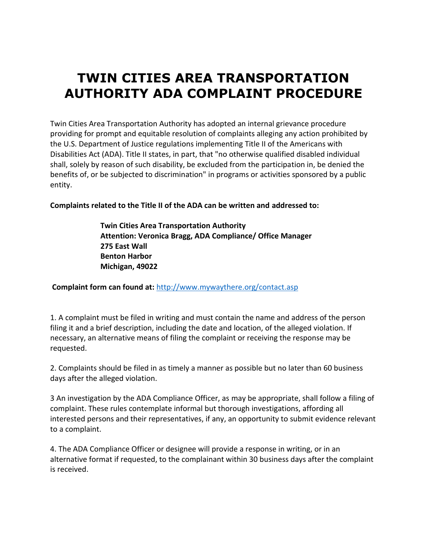# **TWIN CITIES AREA TRANSPORTATION AUTHORITY ADA COMPLAINT PROCEDURE**

Twin Cities Area Transportation Authority has adopted an internal grievance procedure providing for prompt and equitable resolution of complaints alleging any action prohibited by the U.S. Department of Justice regulations implementing Title II of the Americans with Disabilities Act (ADA). Title II states, in part, that "no otherwise qualified disabled individual shall, solely by reason of such disability, be excluded from the participation in, be denied the benefits of, or be subjected to discrimination" in programs or activities sponsored by a public entity.

**Complaints related to the Title II of the ADA can be written and addressed to:**

**Twin Cities Area Transportation Authority Attention: Veronica Bragg, ADA Compliance/ Office Manager 275 East Wall Benton Harbor Michigan, 49022**

**Complaint form can found at:** <http://www.mywaythere.org/contact.asp>

1. A complaint must be filed in writing and must contain the name and address of the person filing it and a brief description, including the date and location, of the alleged violation. If necessary, an alternative means of filing the complaint or receiving the response may be requested.

2. Complaints should be filed in as timely a manner as possible but no later than 60 business days after the alleged violation.

3 An investigation by the ADA Compliance Officer, as may be appropriate, shall follow a filing of complaint. These rules contemplate informal but thorough investigations, affording all interested persons and their representatives, if any, an opportunity to submit evidence relevant to a complaint.

4. The ADA Compliance Officer or designee will provide a response in writing, or in an alternative format if requested, to the complainant within 30 business days after the complaint is received.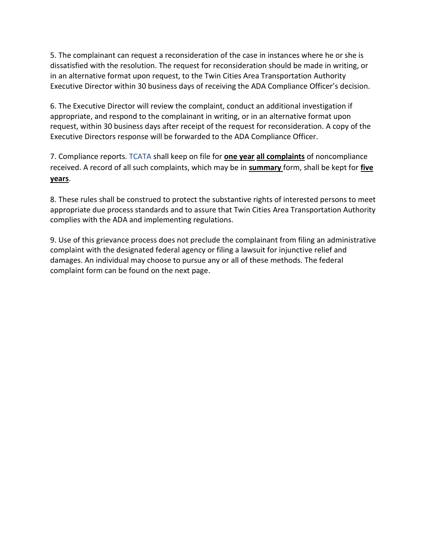5. The complainant can request a reconsideration of the case in instances where he or she is dissatisfied with the resolution. The request for reconsideration should be made in writing, or in an alternative format upon request, to the Twin Cities Area Transportation Authority Executive Director within 30 business days of receiving the ADA Compliance Officer's decision.

6. The Executive Director will review the complaint, conduct an additional investigation if appropriate, and respond to the complainant in writing, or in an alternative format upon request, within 30 business days after receipt of the request for reconsideration. A copy of the Executive Directors response will be forwarded to the ADA Compliance Officer.

7. Compliance reports. TCATA shall keep on file for **one year all complaints** of noncompliance received. A record of all such complaints, which may be in **summary** form, shall be kept for **five years**.

8. These rules shall be construed to protect the substantive rights of interested persons to meet appropriate due process standards and to assure that Twin Cities Area Transportation Authority complies with the ADA and implementing regulations.

9. Use of this grievance process does not preclude the complainant from filing an administrative complaint with the designated federal agency or filing a lawsuit for injunctive relief and damages. An individual may choose to pursue any or all of these methods. The federal complaint form can be found on the next page.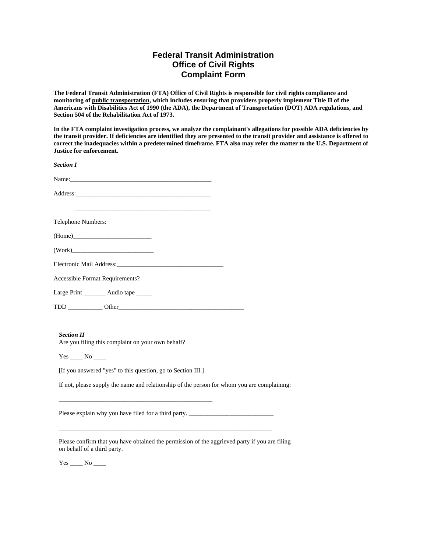## **Federal Transit Administration Office of Civil Rights Complaint Form**

**The Federal Transit Administration (FTA) Office of Civil Rights is responsible for civil rights compliance and monitoring of public transportation, which includes ensuring that providers properly implement Title II of the Americans with Disabilities Act of 1990 (the ADA), the Department of Transportation (DOT) ADA regulations, and Section 504 of the Rehabilitation Act of 1973.**

**In the FTA complaint investigation process, we analyze the complainant's allegations for possible ADA deficiencies by the transit provider. If deficiencies are identified they are presented to the transit provider and assistance is offered to correct the inadequacies within a predetermined timeframe. FTA also may refer the matter to the U.S. Department of Justice for enforcement.**

*Section I*

Name:\_\_\_\_\_\_\_\_\_\_\_\_\_\_\_\_\_\_\_\_\_\_\_\_\_\_\_\_\_\_\_\_\_\_\_\_\_\_\_\_\_\_\_\_\_

Address:\_\_\_\_\_\_\_\_\_\_\_\_\_\_\_\_\_\_\_\_\_\_\_\_\_\_\_\_\_\_\_\_\_\_\_\_\_\_\_\_\_\_\_

 $\overline{\phantom{a}}$  ,  $\overline{\phantom{a}}$  ,  $\overline{\phantom{a}}$  ,  $\overline{\phantom{a}}$  ,  $\overline{\phantom{a}}$  ,  $\overline{\phantom{a}}$  ,  $\overline{\phantom{a}}$  ,  $\overline{\phantom{a}}$  ,  $\overline{\phantom{a}}$  ,  $\overline{\phantom{a}}$  ,  $\overline{\phantom{a}}$  ,  $\overline{\phantom{a}}$  ,  $\overline{\phantom{a}}$  ,  $\overline{\phantom{a}}$  ,  $\overline{\phantom{a}}$  ,  $\overline{\phantom{a}}$ 

Telephone Numbers:

 $(Home)$ 

 $(Work)$ 

Electronic Mail Address:\_\_\_\_\_\_\_\_\_\_\_\_\_\_\_\_\_\_\_\_\_\_\_\_\_\_\_\_\_\_\_\_\_\_

Accessible Format Requirements?

Large Print \_\_\_\_\_\_\_\_ Audio tape \_\_\_\_\_

TDD \_\_\_\_\_\_\_\_\_\_\_ Other\_\_\_\_\_\_\_\_\_\_\_\_\_\_\_\_\_\_\_\_\_\_\_\_\_\_\_\_\_\_\_\_\_\_\_\_\_\_\_\_

#### *Section II*

Are you filing this complaint on your own behalf?

Yes \_\_\_\_\_\_ No \_\_\_\_\_

[If you answered "yes" to this question, go to Section III.]

\_\_\_\_\_\_\_\_\_\_\_\_\_\_\_\_\_\_\_\_\_\_\_\_\_\_\_\_\_\_\_\_\_\_\_\_\_\_\_\_\_\_\_\_\_\_\_\_\_

If not, please supply the name and relationship of the person for whom you are complaining:

Please explain why you have filed for a third party. \_\_\_\_\_\_\_\_\_\_\_\_\_\_\_\_\_\_\_\_\_\_\_\_\_\_\_\_

Please confirm that you have obtained the permission of the aggrieved party if you are filing on behalf of a third party.

\_\_\_\_\_\_\_\_\_\_\_\_\_\_\_\_\_\_\_\_\_\_\_\_\_\_\_\_\_\_\_\_\_\_\_\_\_\_\_\_\_\_\_\_\_\_\_\_\_\_\_\_\_\_\_\_\_\_\_\_\_\_\_\_\_\_\_\_

Yes \_\_\_\_\_\_ No \_\_\_\_\_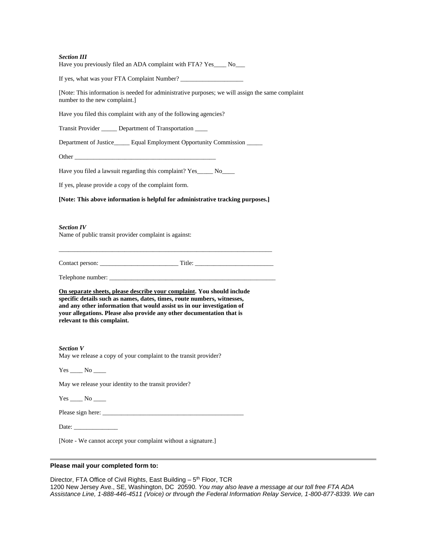#### *Section III*

Have you previously filed an ADA complaint with FTA? Yes No

If yes, what was your FTA Complaint Number? \_\_\_\_\_\_\_\_\_\_\_\_\_\_\_\_\_\_\_\_

[Note: This information is needed for administrative purposes; we will assign the same complaint number to the new complaint.]

Have you filed this complaint with any of the following agencies?

Transit Provider \_\_\_\_\_ Department of Transportation \_\_\_\_

Department of Justice\_\_\_\_\_ Equal Employment Opportunity Commission \_\_\_\_\_

Other \_\_\_\_\_\_\_\_\_\_\_\_\_\_\_\_\_\_\_\_\_\_\_\_\_\_\_\_\_\_\_\_\_\_\_\_\_\_\_\_\_\_\_\_\_

Have you filed a lawsuit regarding this complaint? Yes No

If yes, please provide a copy of the complaint form.

### **[Note: This above information is helpful for administrative tracking purposes.]**

\_\_\_\_\_\_\_\_\_\_\_\_\_\_\_\_\_\_\_\_\_\_\_\_\_\_\_\_\_\_\_\_\_\_\_\_\_\_\_\_\_\_\_\_\_\_\_\_\_\_\_\_\_\_\_\_\_\_\_\_\_\_\_\_\_\_\_\_

#### *Section IV*

Name of public transit provider complaint is against:

|  | Contact person: |
|--|-----------------|
|  |                 |
|  |                 |

 $\Box$  Title:  $\Box$ 

Telephone number:

**On separate sheets, please describe your complaint. You should include specific details such as names, dates, times, route numbers, witnesses, and any other information that would assist us in our investigation of your allegations. Please also provide any other documentation that is relevant to this complaint.** 

*Section V* May we release a copy of your complaint to the transit provider?

Yes \_\_\_\_\_ No \_\_\_\_

May we release your identity to the transit provider?

Yes \_\_\_\_\_\_ No \_\_\_\_\_

Please sign here: \_\_\_\_\_\_\_\_\_\_\_\_\_\_\_\_\_\_\_\_\_\_\_\_\_\_\_\_\_\_\_\_\_\_\_\_\_\_\_\_\_\_\_\_\_

Date:  $\frac{1}{\sqrt{1-\frac{1}{2}}}\left\{ \frac{1}{2}, \frac{1}{2}, \frac{1}{2}\right\}$ 

[Note - We cannot accept your complaint without a signature.]

#### **Please mail your completed form to:**

Director, FTA Office of Civil Rights, East Building - 5<sup>th</sup> Floor, TCR 1200 New Jersey Ave., SE, Washington, DC 20590. *You may also leave a message at our toll free FTA ADA Assistance Line, 1-888-446-4511 (Voice) or through the Federal Information Relay Service, 1-800-877-8339. We can*